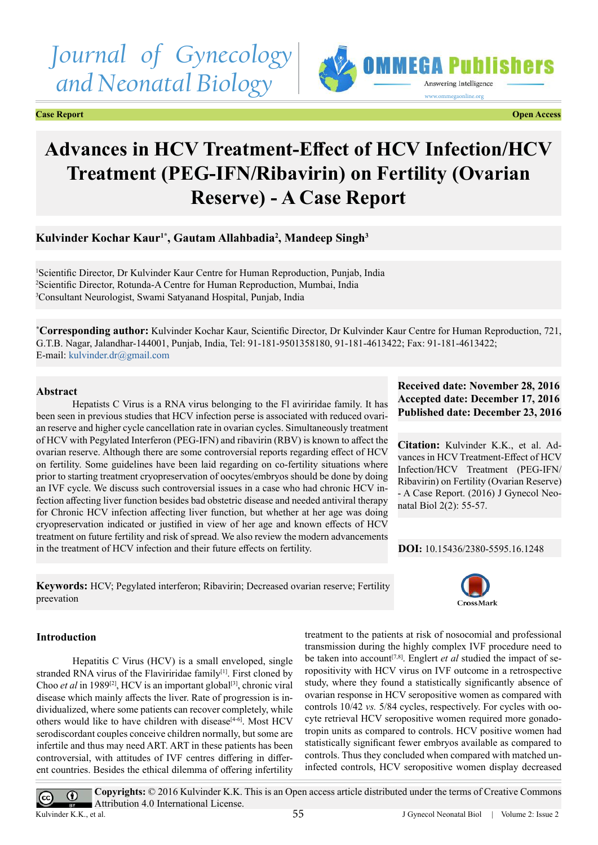# *Journal of Gynecology and Neonatal Biology*

**Case Report Open Access**



# **Advances in HCV Treatment-Effect of HCV Infection/HCV Treatment (PEG-IFN/Ribavirin) on Fertility (Ovarian Reserve) - A Case Report**

**Kulvinder Kochar Kaur1\*, Gautam Allahbadia2 , Mandeep Singh3**

<sup>1</sup>Scientific Director, Dr Kulvinder Kaur Centre for Human Reproduction, Punjab, India 2 Scientific Director, Rotunda-A Centre for Human Reproduction, Mumbai, India 3 Consultant Neurologist, Swami Satyanand Hospital, Punjab, India

**\* Corresponding author:** Kulvinder Kochar Kaur, Scientific Director, Dr Kulvinder Kaur Centre for Human Reproduction, 721, G.T.B. Nagar, Jalandhar-144001, Punjab, India, Tel: 91-181-9501358180, 91-181-4613422; Fax: 91-181-4613422; E-mail: [kulvinder.dr@gmail.com](mailto:kulvinder.dr@gmail.com)

## **Abstract**

Hepatists C Virus is a RNA virus belonging to the Fl aviriridae family. It has been seen in previous studies that HCV infection perse is associated with reduced ovarian reserve and higher cycle cancellation rate in ovarian cycles. Simultaneously treatment of HCV with Pegylated Interferon (PEG-IFN) and ribavirin (RBV) is known to affect the ovarian reserve. Although there are some controversial reports regarding effect of HCV on fertility. Some guidelines have been laid regarding on co-fertility situations where prior to starting treatment cryopreservation of oocytes/embryos should be done by doing an IVF cycle. We discuss such controversial issues in a case who had chronic HCV infection affecting liver function besides bad obstetric disease and needed antiviral therapy for Chronic HCV infection affecting liver function, but whether at her age was doing cryopreservation indicated or justified in view of her age and known effects of HCV treatment on future fertility and risk of spread. We also review the modern advancements in the treatment of HCV infection and their future effects on fertility.

**Keywords:** HCV; Pegylated interferon; Ribavirin; Decreased ovarian reserve; Fertility preevation

# **Received date: November 28, 2016 Accepted date: December 17, 2016 Published date: December 23, 2016**

**Citation:** Kulvinder K.K., et al. Advances in HCV Treatment-Effect of HCV Infection/HCV Treatment (PEG-IFN/ Ribavirin) on Fertility (Ovarian Reserve) - A Case Report. (2016) J Gynecol Neonatal Biol 2(2): 55-57.

**DOI:** [10.15436/2380-5595.16.1](http://www.dx.doi.org/10.15436/2380-5595.16.1248
)248



**Introduction**

Hepatitis C Virus (HCV) is a small enveloped, single stranded RNA virus of the Flaviriridae family<sup>[\[1\]](#page-2-0)</sup>. First cloned by Choo *et al* in 1989<sup>[\[2\]](#page-2-1)</sup>, HCV is an important global<sup>[\[3\]](#page-2-2)</sup>, chronic viral disease which mainly affects the liver. Rate of progression is individualized, where some patients can recover completely, while others would like to have children with disease $[4-6]$ . Most HCV serodiscordant couples conceive children normally, but some are infertile and thus may need ART. ART in these patients has been controversial, with attitudes of IVF centres differing in different countries. Besides the ethical dilemma of offering infertility

treatment to the patients at risk of nosocomial and professional transmission during the highly complex IVF procedure need to be taken into account<sup>[\[7,8\]](#page-2-4)</sup>. Englert *et al* studied the impact of seropositivity with HCV virus on IVF outcome in a retrospective study, where they found a statistically significantly absence of ovarian response in HCV seropositive women as compared with controls 10/42 *vs.* 5/84 cycles, respectively. For cycles with oocyte retrieval HCV seropositive women required more gonadotropin units as compared to controls. HCV positive women had statistically significant fewer embryos available as compared to controls. Thus they concluded when compared with matched uninfected controls, HCV seropositive women display decreased

**Copyrights:** © 2016 Kulvinder K.K. This is an Open access article distributed under the terms of Creative Commons  $\odot$  $\left(\mathrm{cc}\right)$ Attribution 4.0 International License. Kulvinder K.K., et al.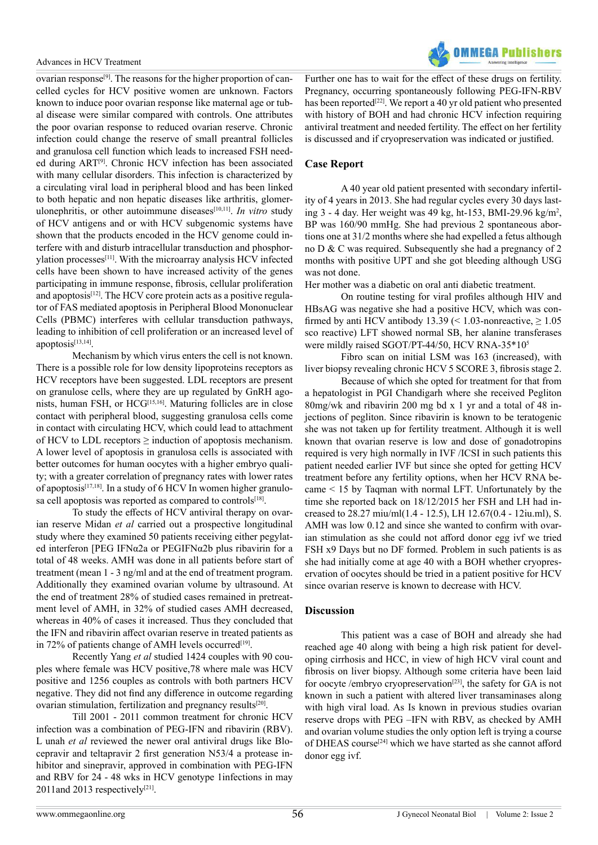ovarian respons[e\[9\].](#page-2-5) The reasons for the higher proportion of cancelled cycles for HCV positive women are unknown. Factors known to induce poor ovarian response like maternal age or tubal disease were similar compared with controls. One attributes the poor ovarian response to reduced ovarian reserve. Chronic infection could change the reserve of small preantral follicles and granulosa cell function which leads to increased FSH needed during ART[\[9\].](#page-2-5) Chronic HCV infection has been associated with many cellular disorders. This infection is characterized by a circulating viral load in peripheral blood and has been linked to both hepatic and non hepatic diseases like arthritis, glomerulonephritis, or other autoimmune diseases<sup>[10,11]</sup>. *In vitro* study of HCV antigens and or with HCV subgenomic systems have shown that the products encoded in the HCV genome could interfere with and disturb intracellular transduction and phosphorylation processes[\[11\]](#page-2-7). With the microarray analysis HCV infected cells have been shown to have increased activity of the genes participating in immune response, fibrosis, cellular proliferation and apoptosis<sup>[\[12\]](#page-2-8)</sup>. The HCV core protein acts as a positive regulator of FAS mediated apoptosis in Peripheral Blood Mononuclear Cells (PBMC) interferes with cellular transduction pathways, leading to inhibition of cell proliferation or an increased level of apoptosis[\[13,14\].](#page-2-9)

Mechanism by which virus enters the cell is not known. There is a possible role for low density lipoproteins receptors as HCV receptors have been suggested. LDL receptors are present on granulose cells, where they are up regulated by GnRH agonists, human FSH, or HCG[\[15,16\].](#page-2-10) Maturing follicles are in close contact with peripheral blood, suggesting granulosa cells come in contact with circulating HCV, which could lead to attachment of HCV to LDL receptors  $\geq$  induction of apoptosis mechanism. A lower level of apoptosis in granulosa cells is associated with better outcomes for human oocytes with a higher embryo quality; with a greater correlation of pregnancy rates with lower rates of apoptosi[s\[17,18\]](#page-2-11). In a study of 6 HCV In women higher granulosa cell apoptosis was reported as compared to controls<sup>[18]</sup>.

To study the effects of HCV antiviral therapy on ovarian reserve Midan *et al* carried out a prospective longitudinal study where they examined 50 patients receiving either pegylated interferon [PEG IFNα2a or PEGIFNα2b plus ribavirin for a total of 48 weeks. AMH was done in all patients before start of treatment (mean 1 - 3 ng/ml and at the end of treatment program. Additionally they examined ovarian volume by ultrasound. At the end of treatment 28% of studied cases remained in pretreatment level of AMH, in 32% of studied cases AMH decreased, whereas in 40% of cases it increased. Thus they concluded that the IFN and ribavirin affect ovarian reserve in treated patients as in 72% of patients change of AMH levels occurred<sup>[19]</sup>.

Recently Yang *et al* studied 1424 couples with 90 couples where female was HCV positive,78 where male was HCV positive and 1256 couples as controls with both partners HCV negative. They did not find any difference in outcome regarding ovarian stimulation, fertilization and pregnancy results<sup>[20]</sup>.

Till 2001 - 2011 common treatment for chronic HCV infection was a combination of PEG-IFN and ribavirin (RBV). L unah *et al* reviewed the newer oral antiviral drugs like Blocepravir and teltapravir 2 first generation N53/4 a protease inhibitor and sinepravir, approved in combination with PEG-IFN and RBV for 24 - 48 wks in HCV genotype 1infections in may 2011and 2013 respectively $[21]$ .



Further one has to wait for the effect of these drugs on fertility. Pregnancy, occurring spontaneously following PEG-IFN-RBV has been reported<sup>[\[22\]](#page-2-16)</sup>. We report a 40 yr old patient who presented with history of BOH and had chronic HCV infection requiring antiviral treatment and needed fertility. The effect on her fertility is discussed and if cryopreservation was indicated or justified.

### **Case Report**

A 40 year old patient presented with secondary infertility of 4 years in 2013. She had regular cycles every 30 days lasting 3 - 4 day. Her weight was 49 kg, ht-153, BMI-29.96 kg/m<sup>2</sup> , BP was 160/90 mmHg. She had previous 2 spontaneous abortions one at 31/2 months where she had expelled a fetus although no D & C was required. Subsequently she had a pregnancy of 2 months with positive UPT and she got bleeding although USG was not done.

Her mother was a diabetic on oral anti diabetic treatment.

On routine testing for viral profiles although HIV and HBsAG was negative she had a positive HCV, which was confirmed by anti HCV antibody 13.39 (< 1.03-nonreactive,  $\geq 1.05$ ) sco reactive) LFT showed normal SB, her alanine transferases were mildly raised SGOT/PT-44/50, HCV RNA-35\*105

Fibro scan on initial LSM was 163 (increased), with liver biopsy revealing chronic HCV 5 SCORE 3, fibrosis stage 2.

Because of which she opted for treatment for that from a hepatologist in PGI Chandigarh where she received Pegliton 80mg/wk and ribavirin 200 mg bd x 1 yr and a total of 48 injections of pegliton. Since ribavirin is known to be teratogenic she was not taken up for fertility treatment. Although it is well known that ovarian reserve is low and dose of gonadotropins required is very high normally in IVF /ICSI in such patients this patient needed earlier IVF but since she opted for getting HCV treatment before any fertility options, when her HCV RNA became < 15 by Taqman with normal LFT. Unfortunately by the time she reported back on 18/12/2015 her FSH and LH had increased to 28.27 miu/ml(1.4 - 12.5), LH 12.67(0.4 - 12iu.ml), S. AMH was low 0.12 and since she wanted to confirm with ovarian stimulation as she could not afford donor egg ivf we tried FSH x9 Days but no DF formed. Problem in such patients is as she had initially come at age 40 with a BOH whether cryopreservation of oocytes should be tried in a patient positive for HCV since ovarian reserve is known to decrease with HCV.

#### **Discussion**

This patient was a case of BOH and already she had reached age 40 along with being a high risk patient for developing cirrhosis and HCC, in view of high HCV viral count and fibrosis on liver biopsy. Although some criteria have been laid for oocyte /embryo cryopreservation<sup>[\[23\]](#page-2-17)</sup>, the safety for GA is not known in such a patient with altered liver transaminases along with high viral load. As Is known in previous studies ovarian reserve drops with PEG –IFN with RBV, as checked by AMH and ovarian volume studies the only option left is trying a course of DHEAS course<sup>[24]</sup> which we have started as she cannot afford donor egg ivf.